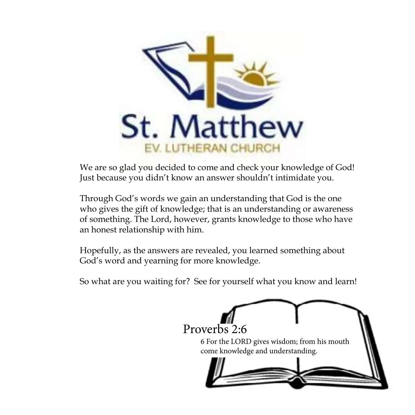

We are so glad you decided to come and check your knowledge of God! Just because you didn't know an answer shouldn't intimidate you.

Through God's words we gain an understanding that God is the one who gives the gift of knowledge; that is an understanding or awareness of something. The Lord, however, grants knowledge to those who have an honest relationship with him.

Hopefully, as the answers are revealed, you learned something about God's word and yearning for more knowledge.

So what are you waiting for? See for yourself what you know and learn!

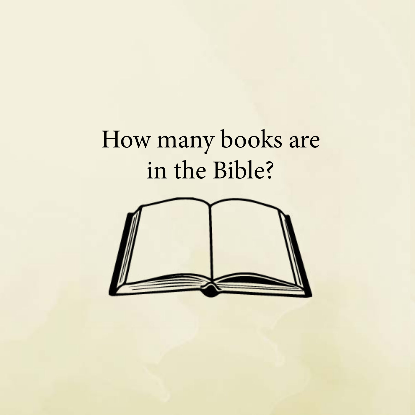# How many books are in the Bible?

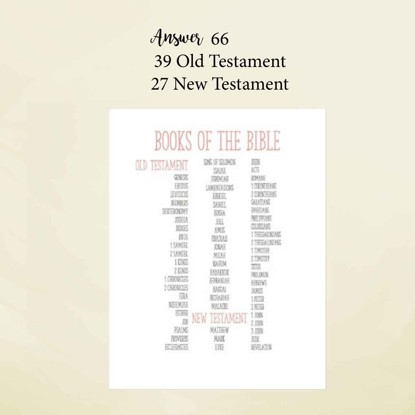#### Answer 66 39 Old Testament 27 New Testament

| <b>TESTAMENT</b>                                                                                                                                                                                                                                     | UF<br>H<br>SING OF SOLONON                                                                                                                                                                                                                    | 脳                                                                                                                                                                                                                                                                                                   |
|------------------------------------------------------------------------------------------------------------------------------------------------------------------------------------------------------------------------------------------------------|-----------------------------------------------------------------------------------------------------------------------------------------------------------------------------------------------------------------------------------------------|-----------------------------------------------------------------------------------------------------------------------------------------------------------------------------------------------------------------------------------------------------------------------------------------------------|
| onus<br>FEBIS<br>EVILLE<br><b>NIMBIN</b><br>DELTERONOMY<br><b>JSHIA</b><br><b>RIDGES</b><br>PU 16<br><b>15UNDE</b><br>258008<br><b>1 0005</b><br>ZING<br><b>LEKWOR</b><br>209012013<br>FIM<br><b>NEED LEE</b><br>西南縣<br>遐<br>琼区<br>PRINTENSIS<br>印刷版 | <b>ISAIAE</b><br><b>FARMIAR</b><br>LAMENTATIONS<br><b>MATIAL</b><br>MA FI<br>RISSA<br>JH.<br><b>AMIS</b><br>GMXAR<br>XWH<br>MDA<br><b>KARDA</b><br>HATCH<br>西联族語<br><b>EAGEAI</b><br><b>BITHATELE</b><br>MAIADE<br>NE<br>MAI HHY<br>MAX<br>UŒ | 紙<br>KIMING<br><b>LORIERANS</b><br>2 DRIVINIANS<br>GHATIAKE<br><b>PAIN ANS</b><br><b>PARK</b><br>18.0002335<br><b>THESEAR ONE ANS</b><br>WANDERS<br>ΠМ<br>m<br><b>ZEMSTER</b><br>TIUS<br>图目球版<br><b>HAVENS</b><br><b>DUMPS</b><br>139392<br>$2P - F$<br>1.09%<br>2 JUN<br>3 JOHN<br>ЮF<br>EVELATION |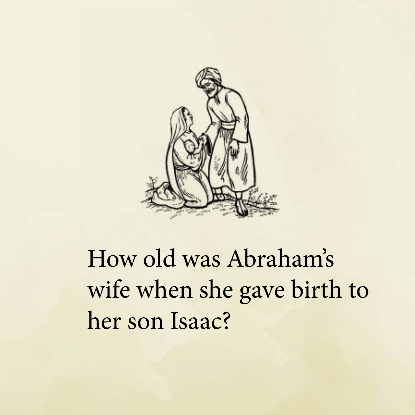

# How old was Abraham's wife when she gave birth to her son Isaac?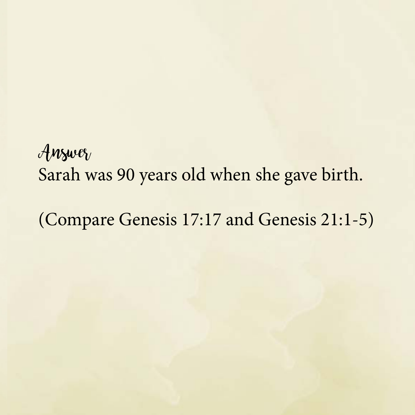#### Answer Sarah was 90 years old when she gave birth.

(Compare Genesis 17:17 and Genesis 21:1-5)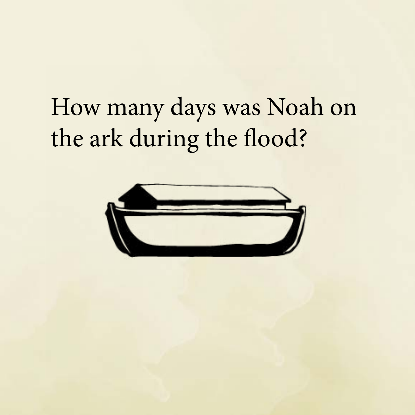# How many days was Noah on the ark during the flood?

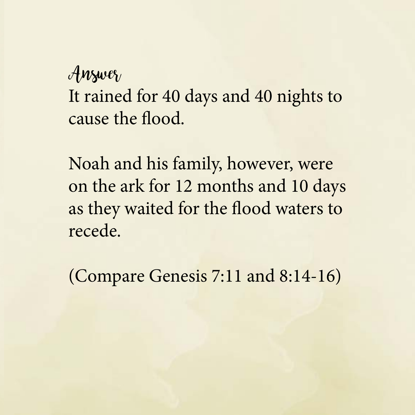#### $\mathcal{A}$ *nswer*

It rained for 40 days and 40 nights to cause the flood.

Noah and his family, however, were on the ark for 12 months and 10 days as they waited for the flood waters to recede.

(Compare Genesis 7:11 and 8:14-16)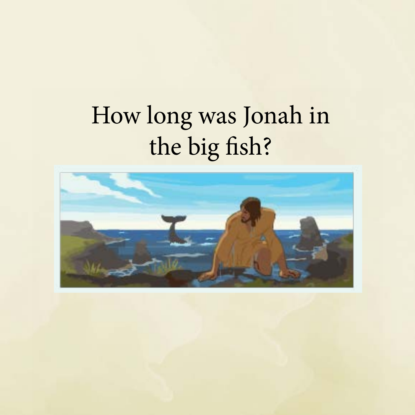# How long was Jonah in the big fish?

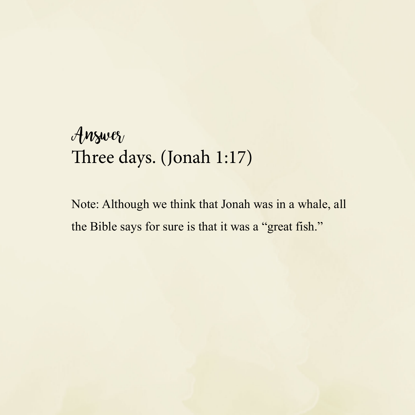#### $\mathcal{A}$ *nswer* Three days. (Jonah 1:17)

Note: Although we think that Jonah was in a whale, all the Bible says for sure is that it was a "great fish."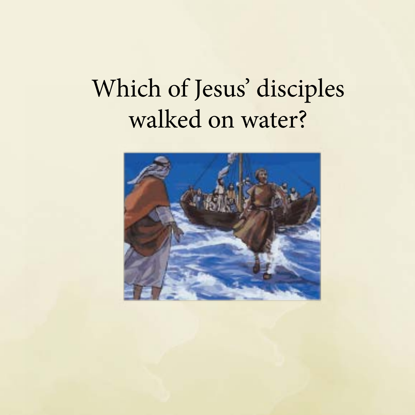# Which of Jesus' disciples walked on water?

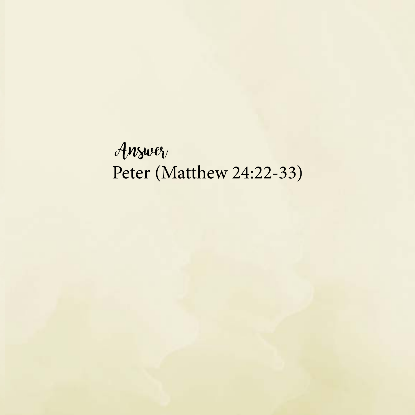Answer Peter (Matthew 24:22-33)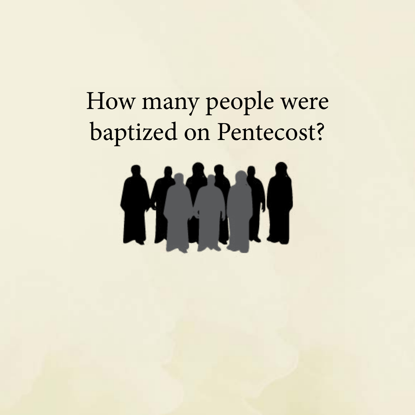## How many people were baptized on Pentecost?

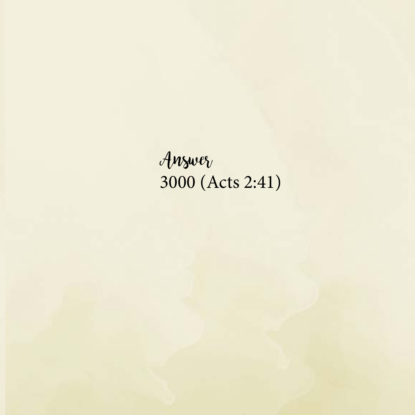Answer 3000 (Acts 2:41)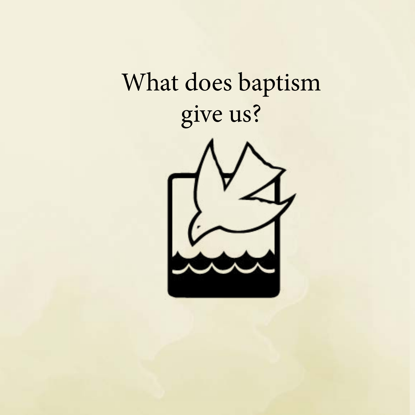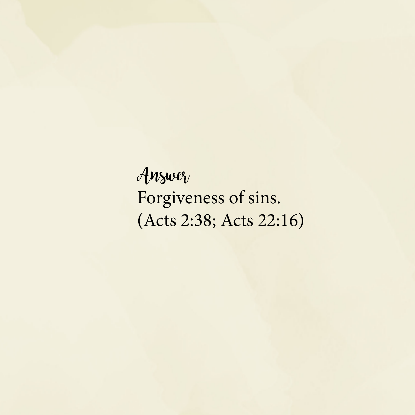Answer Forgiveness of sins. (Acts 2:38; Acts 22:16)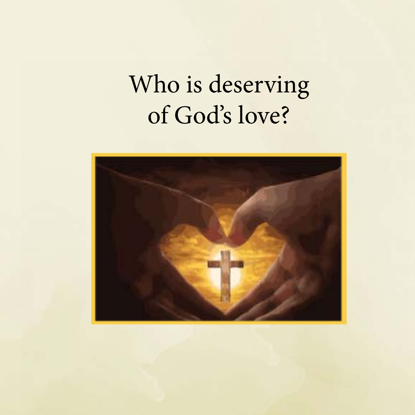### Who is deserving of God's love?

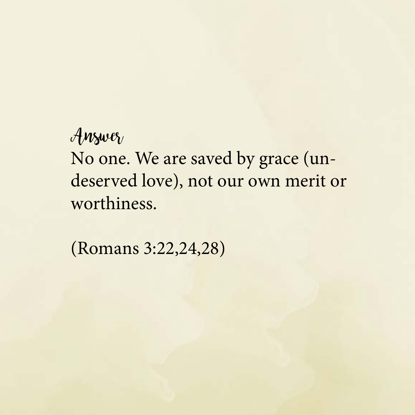#### Answer

No one. We are saved by grace (undeserved love), not our own merit or worthiness.

(Romans 3:22,24,28)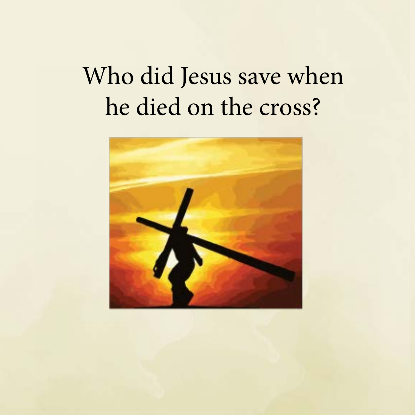## Who did Jesus save when he died on the cross?

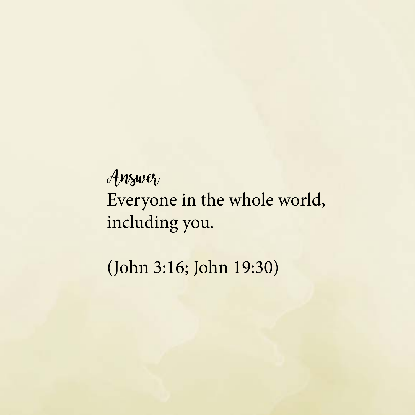#### Answer Everyone in the whole world, including you.

(John 3:16; John 19:30)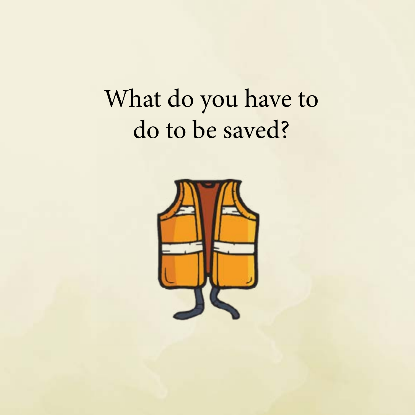#### What do you have to do to be saved?

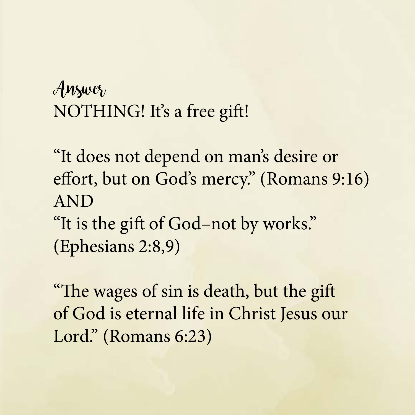#### $\mathcal{A}$ *nswer* NOTHING! It's a free gift!

"It does not depend on man's desire or effort, but on God's mercy." (Romans 9:16) AND "It is the gift of God–not by works."

(Ephesians 2:8,9)

"The wages of sin is death, but the gift of God is eternal life in Christ Jesus our Lord." (Romans 6:23)